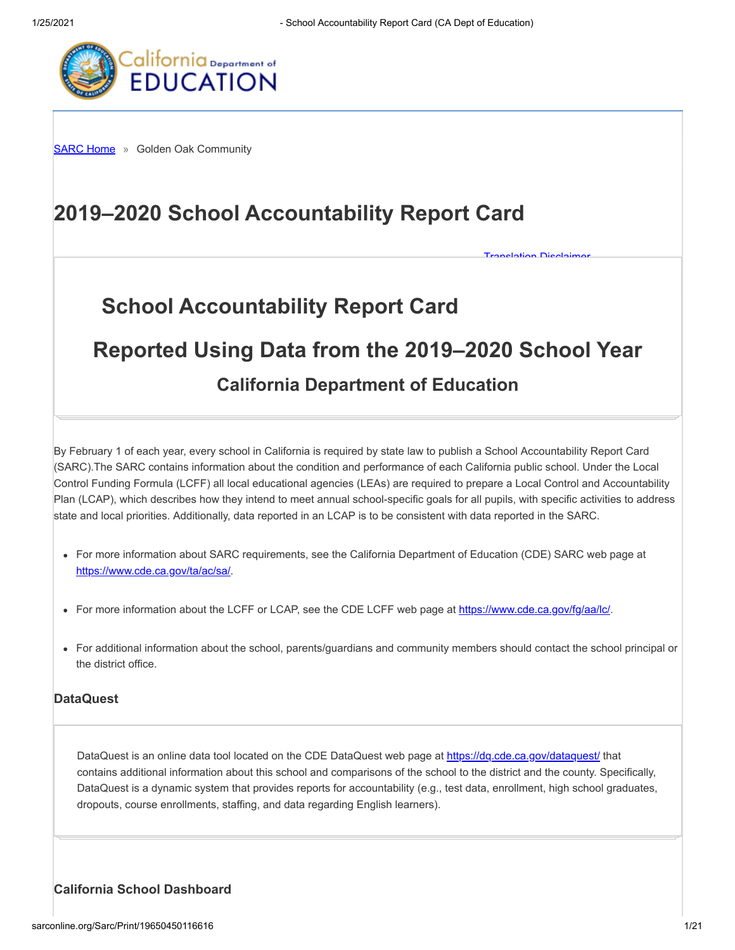**[Translation Disclaimer](http://sarconline.org/Home/Disclaimer)** 



**[SARC Home](http://sarconline.org/Home) »** Golden Oak Community

# **2019–2020 School Accountability Report Card**

# **School Accountability Report Card**

# **Reported Using Data from the 2019–2020 School Year**

# **California Department of Education**

By February 1 of each year, every school in California is required by state law to publish a School Accountability Report Card (SARC).The SARC contains information about the condition and performance of each California public school. Under the Local Control Funding Formula (LCFF) all local educational agencies (LEAs) are required to prepare a Local Control and Accountability Plan (LCAP), which describes how they intend to meet annual school-specific goals for all pupils, with specific activities to address state and local priorities. Additionally, data reported in an LCAP is to be consistent with data reported in the SARC.

- For more information about SARC requirements, see the California Department of Education (CDE) SARC web page at <https://www.cde.ca.gov/ta/ac/sa/>.
- For more information about the LCFF or LCAP, see the CDE LCFF web page at<https://www.cde.ca.gov/fg/aa/lc/>.
- For additional information about the school, parents/guardians and community members should contact the school principal or the district office.

# **DataQuest**

DataQuest is an online data tool located on the CDE DataQuest web page at<https://dq.cde.ca.gov/dataquest/> that contains additional information about this school and comparisons of the school to the district and the county. Specifically, DataQuest is a dynamic system that provides reports for accountability (e.g., test data, enrollment, high school graduates, dropouts, course enrollments, staffing, and data regarding English learners).

# **California School Dashboard**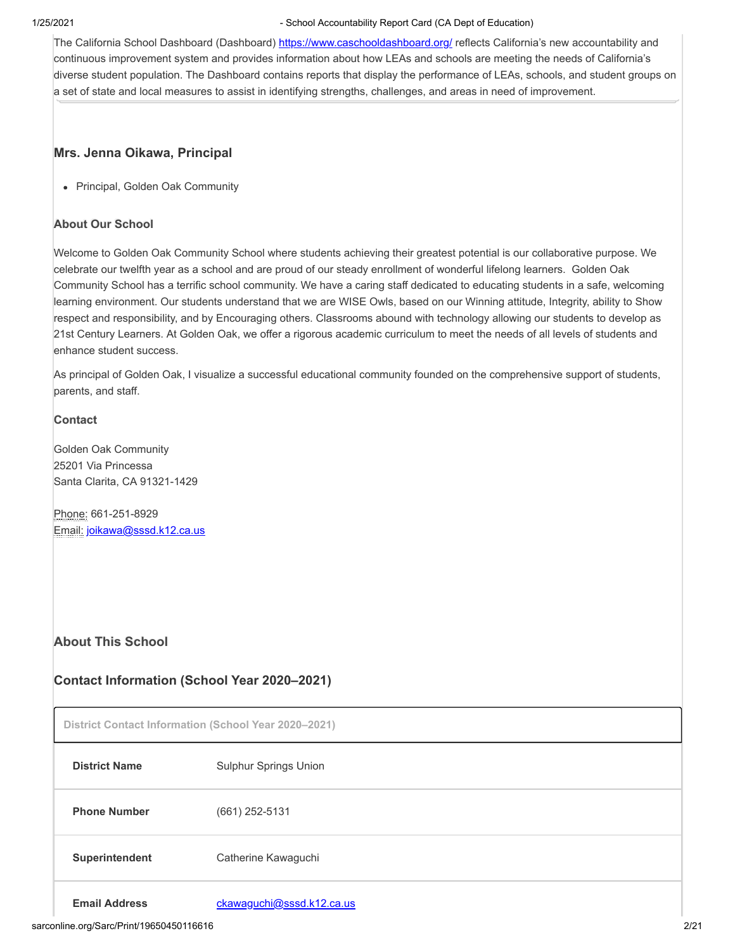The California School Dashboard (Dashboard)<https://www.caschooldashboard.org/> reflects California's new accountability and continuous improvement system and provides information about how LEAs and schools are meeting the needs of California's diverse student population. The Dashboard contains reports that display the performance of LEAs, schools, and student groups on a set of state and local measures to assist in identifying strengths, challenges, and areas in need of improvement.

#### **Mrs. Jenna Oikawa, Principal**

Principal, Golden Oak Community

#### **About Our School**

Welcome to Golden Oak Community School where students achieving their greatest potential is our collaborative purpose. We celebrate our twelfth year as a school and are proud of our steady enrollment of wonderful lifelong learners. Golden Oak Community School has a terrific school community. We have a caring staff dedicated to educating students in a safe, welcoming learning environment. Our students understand that we are WISE Owls, based on our Winning attitude, Integrity, ability to Show respect and responsibility, and by Encouraging others. Classrooms abound with technology allowing our students to develop as 21st Century Learners. At Golden Oak, we offer a rigorous academic curriculum to meet the needs of all levels of students and enhance student success.

As principal of Golden Oak, I visualize a successful educational community founded on the comprehensive support of students, parents, and staff.

#### **Contact**

Golden Oak Community 25201 Via Princessa Santa Clarita, CA 91321-1429

Phone: 661-251-8929 Email: [joikawa@sssd.k12.ca.us](mailto:joikawa@sssd.k12.ca.us)

# **About This School**

# **Contact Information (School Year 2020–2021)**

**District Contact Information (School Year 2020–2021)**

| <b>District Name</b> | <b>Sulphur Springs Union</b> |
|----------------------|------------------------------|
| <b>Phone Number</b>  | $(661)$ 252-5131             |
| Superintendent       | Catherine Kawaguchi          |
|                      |                              |

Email Address [ckawaguchi@sssd.k12.ca.us](mailto:ckawaguchi@sssd.k12.ca.us)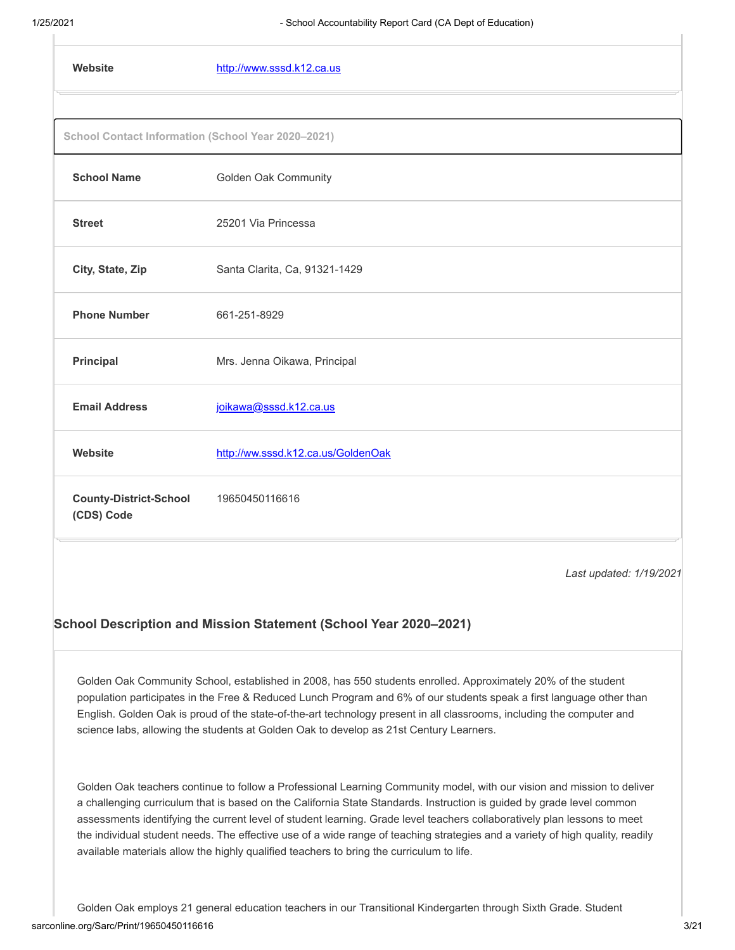| Website                                            | http://www.sssd.k12.ca.us          |
|----------------------------------------------------|------------------------------------|
|                                                    |                                    |
| School Contact Information (School Year 2020-2021) |                                    |
| <b>School Name</b>                                 | <b>Golden Oak Community</b>        |
| <b>Street</b>                                      | 25201 Via Princessa                |
| City, State, Zip                                   | Santa Clarita, Ca, 91321-1429      |
| <b>Phone Number</b>                                | 661-251-8929                       |
| <b>Principal</b>                                   | Mrs. Jenna Oikawa, Principal       |
| <b>Email Address</b>                               | joikawa@sssd.k12.ca.us             |
| Website                                            | http://ww.sssd.k12.ca.us/GoldenOak |
| <b>County-District-School</b><br>(CDS) Code        | 19650450116616                     |
|                                                    |                                    |

*Last updated: 1/19/2021*

#### **School Description and Mission Statement (School Year 2020–2021)**

Golden Oak Community School, established in 2008, has 550 students enrolled. Approximately 20% of the student population participates in the Free & Reduced Lunch Program and 6% of our students speak a first language other than English. Golden Oak is proud of the state-of-the-art technology present in all classrooms, including the computer and science labs, allowing the students at Golden Oak to develop as 21st Century Learners.

Golden Oak teachers continue to follow a Professional Learning Community model, with our vision and mission to deliver a challenging curriculum that is based on the California State Standards. Instruction is guided by grade level common assessments identifying the current level of student learning. Grade level teachers collaboratively plan lessons to meet the individual student needs. The effective use of a wide range of teaching strategies and a variety of high quality, readily available materials allow the highly qualified teachers to bring the curriculum to life.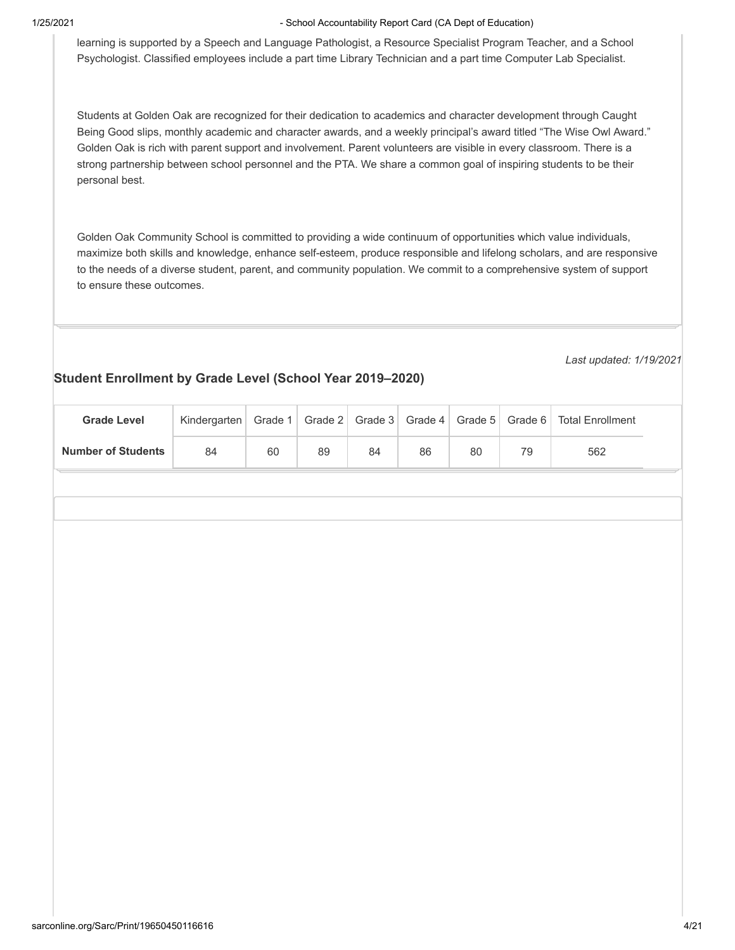learning is supported by a Speech and Language Pathologist, a Resource Specialist Program Teacher, and a School Psychologist. Classified employees include a part time Library Technician and a part time Computer Lab Specialist.

Students at Golden Oak are recognized for their dedication to academics and character development through Caught Being Good slips, monthly academic and character awards, and a weekly principal's award titled "The Wise Owl Award." Golden Oak is rich with parent support and involvement. Parent volunteers are visible in every classroom. There is a strong partnership between school personnel and the PTA. We share a common goal of inspiring students to be their personal best.

Golden Oak Community School is committed to providing a wide continuum of opportunities which value individuals, maximize both skills and knowledge, enhance self-esteem, produce responsible and lifelong scholars, and are responsive to the needs of a diverse student, parent, and community population. We commit to a comprehensive system of support to ensure these outcomes.

*Last updated: 1/19/2021*

# **Student Enrollment by Grade Level (School Year 2019–2020)**

|                           |              |         |         |         | $\overline{\phantom{a}}$ |         |          |                         |  |
|---------------------------|--------------|---------|---------|---------|--------------------------|---------|----------|-------------------------|--|
| <b>Grade Level</b>        | Kindergarten | Grade 1 | Grade 2 | Grade 3 | Grade 4                  | Grade 5 | Grade 6  | <b>Total Enrollment</b> |  |
| <b>Number of Students</b> | 84           | $60\,$  | $89\,$  | $84\,$  | $86\,$                   | $80\,$  | $\bf 79$ | 562                     |  |
|                           |              |         |         |         |                          |         |          |                         |  |
|                           |              |         |         |         |                          |         |          |                         |  |
|                           |              |         |         |         |                          |         |          |                         |  |
|                           |              |         |         |         |                          |         |          |                         |  |
|                           |              |         |         |         |                          |         |          |                         |  |
|                           |              |         |         |         |                          |         |          |                         |  |
|                           |              |         |         |         |                          |         |          |                         |  |
|                           |              |         |         |         |                          |         |          |                         |  |
|                           |              |         |         |         |                          |         |          |                         |  |
|                           |              |         |         |         |                          |         |          |                         |  |
|                           |              |         |         |         |                          |         |          |                         |  |
|                           |              |         |         |         |                          |         |          |                         |  |
|                           |              |         |         |         |                          |         |          |                         |  |
|                           |              |         |         |         |                          |         |          |                         |  |
|                           |              |         |         |         |                          |         |          |                         |  |
|                           |              |         |         |         |                          |         |          |                         |  |
|                           |              |         |         |         |                          |         |          |                         |  |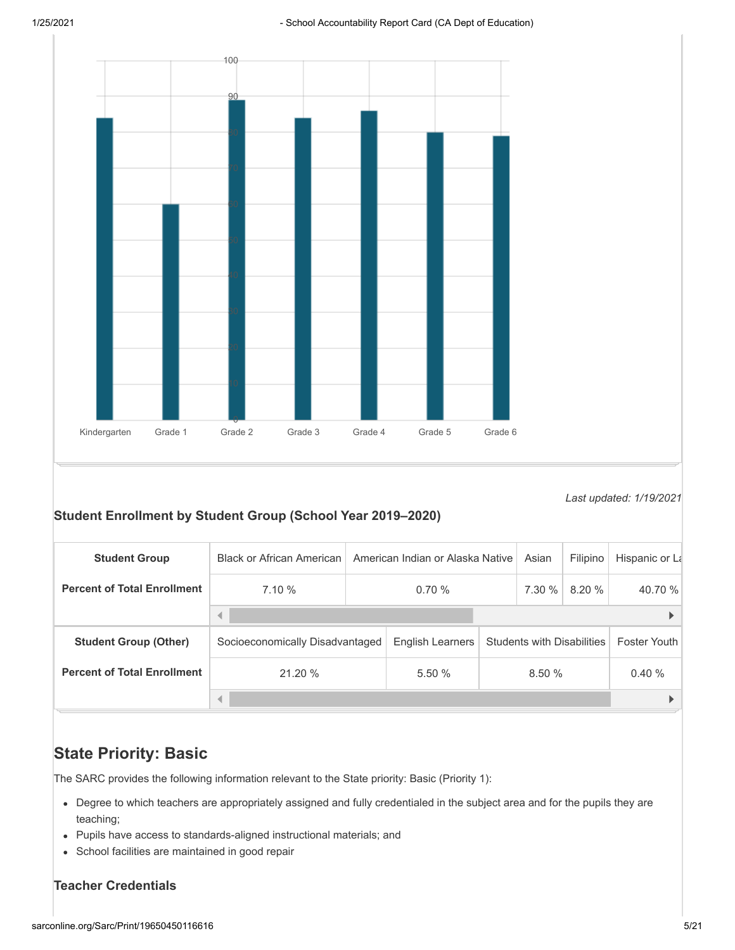

*Last updated: 1/19/2021*

# **Student Enrollment by Student Group (School Year 2019–2020)**

| <b>Student Group</b>               | <b>Black or African American</b><br>American Indian or Alaska Native |       |                  |  | Asian                             | Filipino | Hispanic or La      |        |         |
|------------------------------------|----------------------------------------------------------------------|-------|------------------|--|-----------------------------------|----------|---------------------|--------|---------|
| <b>Percent of Total Enrollment</b> | 7.10%                                                                | 0.70% |                  |  |                                   |          | 7.30 %              | 8.20 % | 40.70 % |
|                                    |                                                                      |       |                  |  |                                   |          |                     |        |         |
| <b>Student Group (Other)</b>       | Socioeconomically Disadvantaged                                      |       | English Learners |  | <b>Students with Disabilities</b> |          | <b>Foster Youth</b> |        |         |
| <b>Percent of Total Enrollment</b> | 21.20 %                                                              | 5.50% | 8.50%            |  | 0.40%                             |          |                     |        |         |
|                                    | ◀                                                                    |       |                  |  |                                   |          |                     |        |         |

# **State Priority: Basic**

The SARC provides the following information relevant to the State priority: Basic (Priority 1):

- Degree to which teachers are appropriately assigned and fully credentialed in the subject area and for the pupils they are teaching;
- Pupils have access to standards-aligned instructional materials; and
- School facilities are maintained in good repair

# **Teacher Credentials**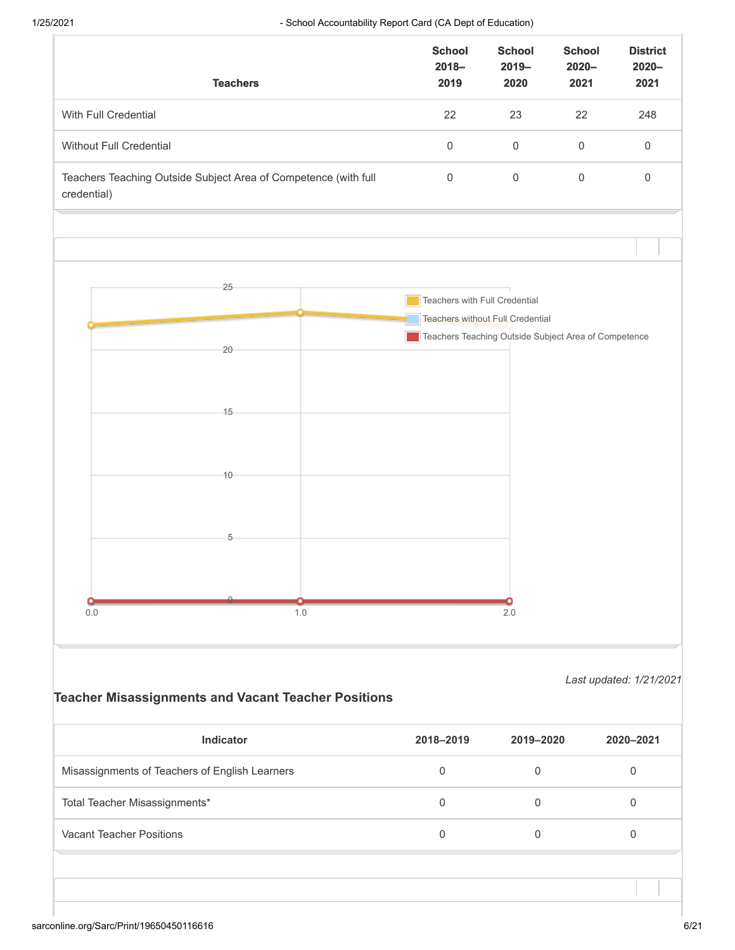|                               | <b>Teachers</b>                                                 | <b>School</b><br>$2018 -$<br>2019                                 | <b>School</b><br>$2019 -$<br>2020                                                               | <b>School</b><br>$2020 -$<br>2021 | <b>District</b><br>$2020 -$<br>2021 |
|-------------------------------|-----------------------------------------------------------------|-------------------------------------------------------------------|-------------------------------------------------------------------------------------------------|-----------------------------------|-------------------------------------|
| With Full Credential          |                                                                 | 22                                                                | 23                                                                                              | 22                                | 248                                 |
| Without Full Credential       |                                                                 | $\mathsf{O}\xspace$<br>$\mathsf{O}\xspace$<br>$\mathsf{O}\xspace$ |                                                                                                 |                                   |                                     |
| credential)                   | Teachers Teaching Outside Subject Area of Competence (with full | $\mathsf{O}\xspace$                                               | $\mathsf{O}\xspace$                                                                             | $\mathbf 0$                       | $\mathbf 0$                         |
|                               |                                                                 |                                                                   |                                                                                                 |                                   |                                     |
|                               | 25                                                              | Teachers with Full Credential                                     |                                                                                                 |                                   |                                     |
|                               | 20                                                              |                                                                   | <b>Teachers without Full Credential</b><br>Teachers Teaching Outside Subject Area of Competence |                                   |                                     |
|                               | 15                                                              |                                                                   |                                                                                                 |                                   |                                     |
|                               | 10                                                              |                                                                   |                                                                                                 |                                   |                                     |
|                               | 5                                                               |                                                                   |                                                                                                 |                                   |                                     |
| $0.0\,$                       | 1.0                                                             |                                                                   | 2.0                                                                                             |                                   |                                     |
|                               |                                                                 |                                                                   |                                                                                                 |                                   | Last updated: 1/21/2021             |
|                               | <b>Teacher Misassignments and Vacant Teacher Positions</b>      |                                                                   |                                                                                                 |                                   |                                     |
|                               | Indicator                                                       | 2018-2019                                                         | 2019-2020                                                                                       |                                   | 2020-2021                           |
|                               | Misassignments of Teachers of English Learners                  | $\mathbf 0$                                                       | $\mathbf 0$                                                                                     |                                   | $\mathbf 0$                         |
| Total Teacher Misassignments* |                                                                 | $\,0\,$                                                           | $\mathbf 0$                                                                                     |                                   | $\mathbf 0$                         |

Vacant Teacher Positions 0 0 0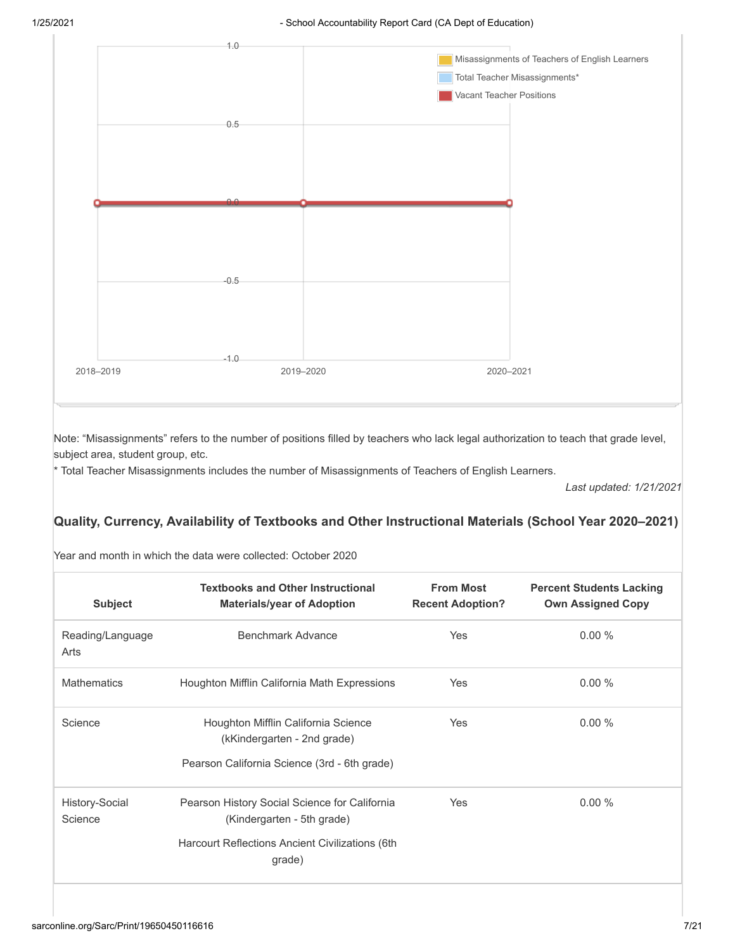

Note: "Misassignments" refers to the number of positions filled by teachers who lack legal authorization to teach that grade level, subject area, student group, etc.

\* Total Teacher Misassignments includes the number of Misassignments of Teachers of English Learners.

*Last updated: 1/21/2021*

# **Quality, Currency, Availability of Textbooks and Other Instructional Materials (School Year 2020–2021)**

| Year and month in which the data were collected: October 2020 |  |
|---------------------------------------------------------------|--|
|---------------------------------------------------------------|--|

| <b>Subject</b>            | <b>Textbooks and Other Instructional</b><br><b>Materials/year of Adoption</b> | <b>From Most</b><br><b>Recent Adoption?</b> | <b>Percent Students Lacking</b><br><b>Own Assigned Copy</b> |
|---------------------------|-------------------------------------------------------------------------------|---------------------------------------------|-------------------------------------------------------------|
| Reading/Language<br>Arts  | Benchmark Advance                                                             | Yes                                         | 0.00%                                                       |
| <b>Mathematics</b>        | Houghton Mifflin California Math Expressions                                  | Yes                                         | 0.00%                                                       |
| Science                   | Houghton Mifflin California Science<br>(kKindergarten - 2nd grade)            | Yes                                         | 0.00%                                                       |
|                           | Pearson California Science (3rd - 6th grade)                                  |                                             |                                                             |
| History-Social<br>Science | Pearson History Social Science for California<br>(Kindergarten - 5th grade)   | Yes                                         | 0.00%                                                       |
|                           | Harcourt Reflections Ancient Civilizations (6th<br>grade)                     |                                             |                                                             |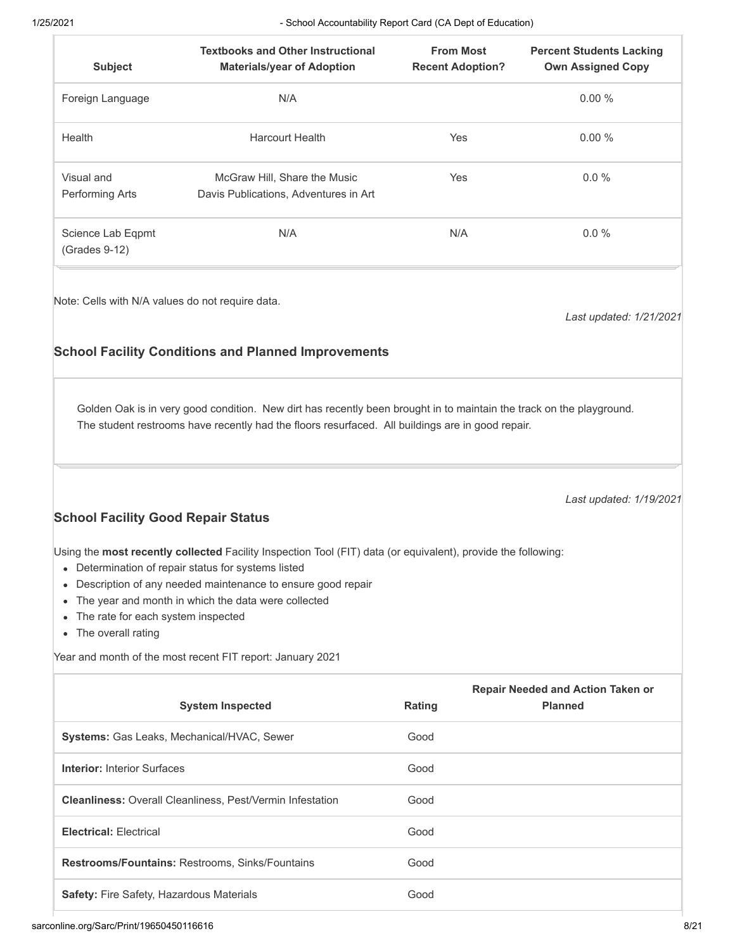| <b>Subject</b>                       | <b>Textbooks and Other Instructional</b><br><b>Materials/year of Adoption</b> | <b>From Most</b><br><b>Recent Adoption?</b> | <b>Percent Students Lacking</b><br><b>Own Assigned Copy</b> |
|--------------------------------------|-------------------------------------------------------------------------------|---------------------------------------------|-------------------------------------------------------------|
| Foreign Language                     | N/A                                                                           |                                             | 0.00%                                                       |
| Health                               | <b>Harcourt Health</b>                                                        | <b>Yes</b>                                  | 0.00%                                                       |
| Visual and<br>Performing Arts        | McGraw Hill, Share the Music<br>Davis Publications, Adventures in Art         | <b>Yes</b>                                  | $0.0\%$                                                     |
| Science Lab Eqpmt<br>$(Grades 9-12)$ | N/A                                                                           | N/A                                         | $0.0\%$                                                     |

Note: Cells with N/A values do not require data.

*Last updated: 1/21/2021*

# **School Facility Conditions and Planned Improvements**

Golden Oak is in very good condition. New dirt has recently been brought in to maintain the track on the playground. The student restrooms have recently had the floors resurfaced. All buildings are in good repair.

*Last updated: 1/19/2021*

# **School Facility Good Repair Status**

Using the **most recently collected** Facility Inspection Tool (FIT) data (or equivalent), provide the following:

- Determination of repair status for systems listed
- Description of any needed maintenance to ensure good repair
- The year and month in which the data were collected
- The rate for each system inspected
- The overall rating

Year and month of the most recent FIT report: January 2021

| <b>System Inspected</b>                                          | Rating | <b>Repair Needed and Action Taken or</b><br><b>Planned</b> |
|------------------------------------------------------------------|--------|------------------------------------------------------------|
| <b>Systems:</b> Gas Leaks, Mechanical/HVAC, Sewer                | Good   |                                                            |
| <b>Interior: Interior Surfaces</b>                               | Good   |                                                            |
| <b>Cleanliness: Overall Cleanliness, Pest/Vermin Infestation</b> | Good   |                                                            |
| <b>Electrical: Electrical</b>                                    | Good   |                                                            |
| <b>Restrooms/Fountains: Restrooms, Sinks/Fountains</b>           | Good   |                                                            |
| <b>Safety: Fire Safety, Hazardous Materials</b>                  | Good   |                                                            |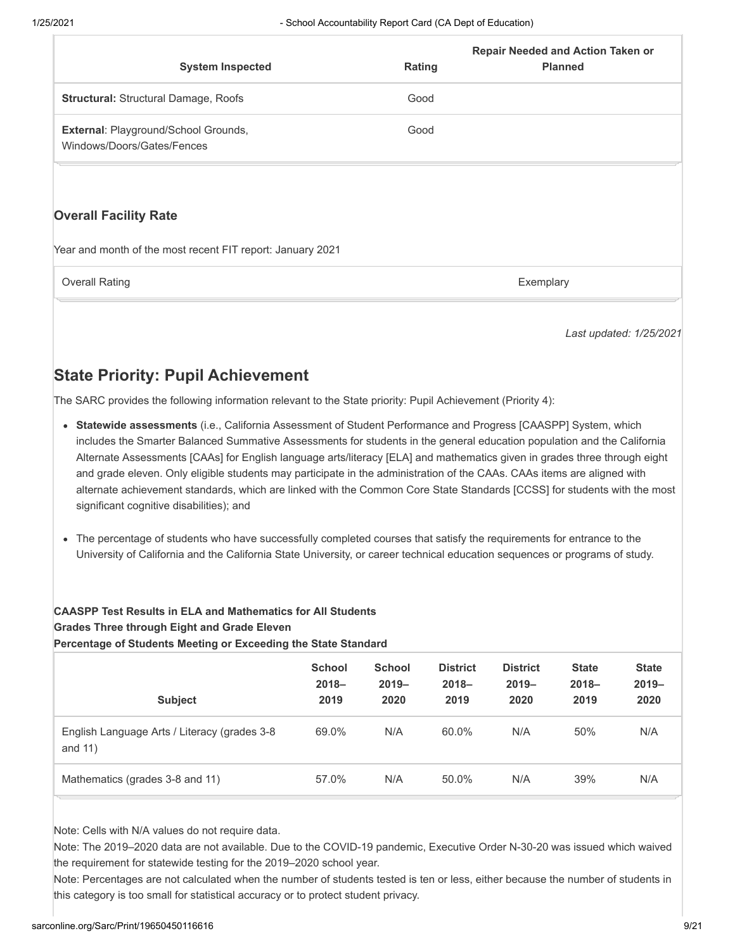| <b>System Inspected</b>                                                   | Rating | <b>Repair Needed and Action Taken or</b><br><b>Planned</b> |
|---------------------------------------------------------------------------|--------|------------------------------------------------------------|
| Structural: Structural Damage, Roofs                                      | Good   |                                                            |
| <b>External: Playground/School Grounds,</b><br>Windows/Doors/Gates/Fences | Good   |                                                            |
|                                                                           |        |                                                            |

#### **Overall Facility Rate**

Year and month of the most recent FIT report: January 2021

Overall Rating **Exemplary** Exemplary **Exemplary** Exemplary

*Last updated: 1/25/2021*

# **State Priority: Pupil Achievement**

The SARC provides the following information relevant to the State priority: Pupil Achievement (Priority 4):

- **Statewide assessments** (i.e., California Assessment of Student Performance and Progress [CAASPP] System, which includes the Smarter Balanced Summative Assessments for students in the general education population and the California Alternate Assessments [CAAs] for English language arts/literacy [ELA] and mathematics given in grades three through eight and grade eleven. Only eligible students may participate in the administration of the CAAs. CAAs items are aligned with alternate achievement standards, which are linked with the Common Core State Standards [CCSS] for students with the most significant cognitive disabilities); and
- The percentage of students who have successfully completed courses that satisfy the requirements for entrance to the University of California and the California State University, or career technical education sequences or programs of study.

#### **CAASPP Test Results in ELA and Mathematics for All Students Grades Three through Eight and Grade Eleven**

**Percentage of Students Meeting or Exceeding the State Standard**

| <b>Subject</b>                                            | <b>School</b><br>$2018 -$<br>2019 | <b>School</b><br>$2019 -$<br>2020 | <b>District</b><br>$2018 -$<br>2019 | <b>District</b><br>$2019 -$<br>2020 | <b>State</b><br>$2018 -$<br>2019 | <b>State</b><br>$2019 -$<br>2020 |
|-----------------------------------------------------------|-----------------------------------|-----------------------------------|-------------------------------------|-------------------------------------|----------------------------------|----------------------------------|
| English Language Arts / Literacy (grades 3-8<br>and $11)$ | 69.0%                             | N/A                               | 60.0%                               | N/A                                 | 50%                              | N/A                              |
| Mathematics (grades 3-8 and 11)                           | 57.0%                             | N/A                               | 50.0%                               | N/A                                 | 39%                              | N/A                              |

Note: Cells with N/A values do not require data.

Note: The 2019–2020 data are not available. Due to the COVID-19 pandemic, Executive Order N-30-20 was issued which waived the requirement for statewide testing for the 2019–2020 school year.

Note: Percentages are not calculated when the number of students tested is ten or less, either because the number of students in this category is too small for statistical accuracy or to protect student privacy.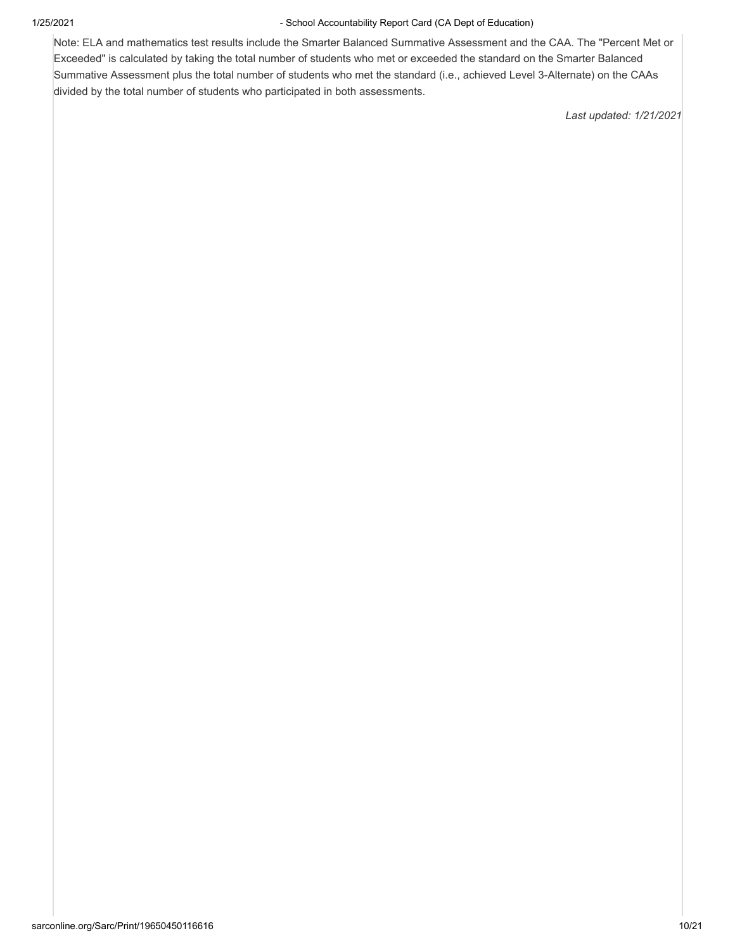Note: ELA and mathematics test results include the Smarter Balanced Summative Assessment and the CAA. The "Percent Met or Exceeded" is calculated by taking the total number of students who met or exceeded the standard on the Smarter Balanced Summative Assessment plus the total number of students who met the standard (i.e., achieved Level 3-Alternate) on the CAAs divided by the total number of students who participated in both assessments.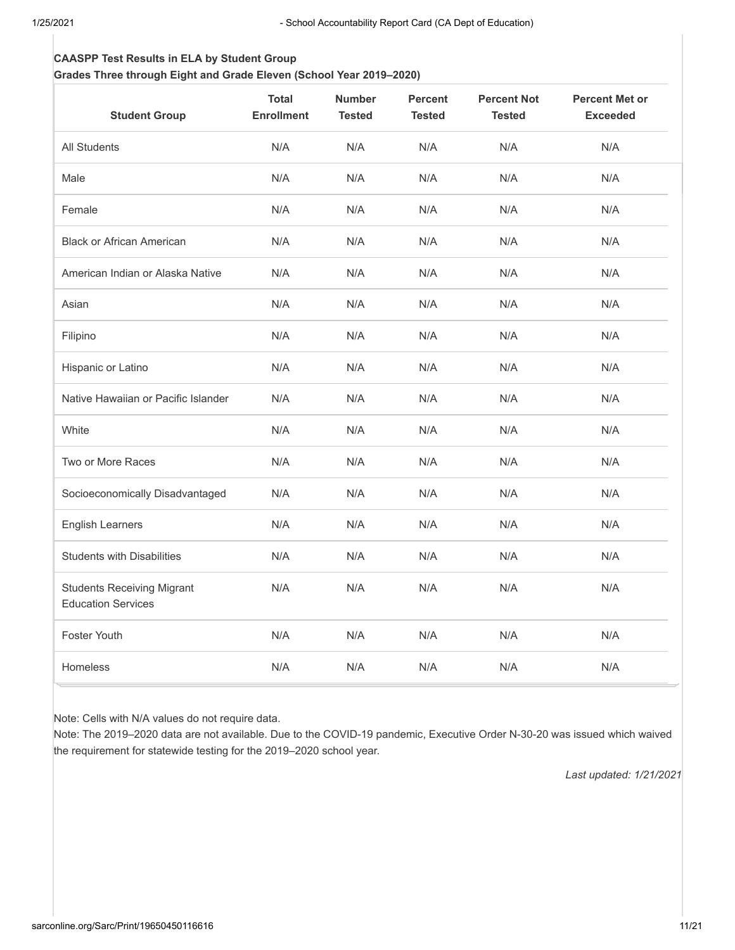# **CAASPP Test Results in ELA by Student Group**

**Grades Three through Eight and Grade Eleven (School Year 2019–2020)**

| <b>Student Group</b>                                           | <b>Total</b><br><b>Enrollment</b> | <b>Number</b><br><b>Tested</b> | <b>Percent</b><br><b>Tested</b> | <b>Percent Not</b><br><b>Tested</b> | <b>Percent Met or</b><br><b>Exceeded</b> |
|----------------------------------------------------------------|-----------------------------------|--------------------------------|---------------------------------|-------------------------------------|------------------------------------------|
| <b>All Students</b>                                            | N/A                               | N/A                            | N/A                             | N/A                                 | N/A                                      |
| Male                                                           | N/A                               | N/A                            | N/A                             | N/A                                 | N/A                                      |
| Female                                                         | N/A                               | N/A                            | N/A                             | N/A                                 | N/A                                      |
| <b>Black or African American</b>                               | N/A                               | N/A                            | N/A                             | N/A                                 | N/A                                      |
| American Indian or Alaska Native                               | N/A                               | N/A                            | N/A                             | N/A                                 | N/A                                      |
| Asian                                                          | N/A                               | N/A                            | N/A                             | N/A                                 | N/A                                      |
| Filipino                                                       | N/A                               | N/A                            | N/A                             | N/A                                 | N/A                                      |
| Hispanic or Latino                                             | N/A                               | N/A                            | N/A                             | N/A                                 | N/A                                      |
| Native Hawaiian or Pacific Islander                            | N/A                               | N/A                            | N/A                             | N/A                                 | N/A                                      |
| White                                                          | N/A                               | N/A                            | N/A                             | N/A                                 | N/A                                      |
| Two or More Races                                              | N/A                               | N/A                            | N/A                             | N/A                                 | N/A                                      |
| Socioeconomically Disadvantaged                                | N/A                               | N/A                            | N/A                             | N/A                                 | N/A                                      |
| <b>English Learners</b>                                        | N/A                               | N/A                            | N/A                             | N/A                                 | N/A                                      |
| <b>Students with Disabilities</b>                              | N/A                               | N/A                            | N/A                             | N/A                                 | N/A                                      |
| <b>Students Receiving Migrant</b><br><b>Education Services</b> | N/A                               | N/A                            | N/A                             | N/A                                 | N/A                                      |
| <b>Foster Youth</b>                                            | N/A                               | N/A                            | N/A                             | N/A                                 | N/A                                      |
| Homeless                                                       | N/A                               | N/A                            | N/A                             | N/A                                 | N/A                                      |

Note: Cells with N/A values do not require data.

Note: The 2019–2020 data are not available. Due to the COVID-19 pandemic, Executive Order N-30-20 was issued which waived the requirement for statewide testing for the 2019–2020 school year.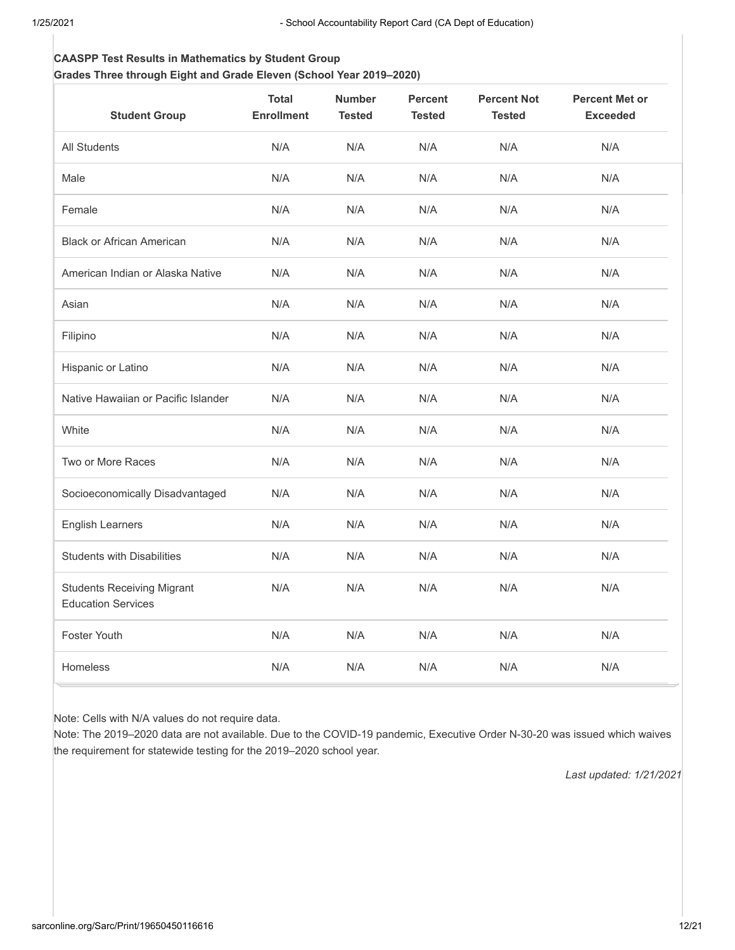#### **CAASPP Test Results in Mathematics by Student Group Grades Three through Eight and Grade Eleven (School Year 2019–2020)**

| <b>Student Group</b>                                           | <b>Total</b><br><b>Enrollment</b> | <b>Number</b><br><b>Tested</b> | <b>Percent</b><br><b>Tested</b> | <b>Percent Not</b><br><b>Tested</b> | <b>Percent Met or</b><br><b>Exceeded</b> |
|----------------------------------------------------------------|-----------------------------------|--------------------------------|---------------------------------|-------------------------------------|------------------------------------------|
| All Students                                                   | N/A                               | N/A                            | N/A                             | N/A                                 | N/A                                      |
| Male                                                           | N/A                               | N/A                            | N/A                             | N/A                                 | N/A                                      |
| Female                                                         | N/A                               | N/A                            | N/A                             | N/A                                 | N/A                                      |
| <b>Black or African American</b>                               | N/A                               | N/A                            | N/A                             | N/A                                 | N/A                                      |
| American Indian or Alaska Native                               | N/A                               | N/A                            | N/A                             | N/A                                 | N/A                                      |
| Asian                                                          | N/A                               | N/A                            | N/A                             | N/A                                 | N/A                                      |
| Filipino                                                       | N/A                               | N/A                            | N/A                             | N/A                                 | N/A                                      |
| Hispanic or Latino                                             | N/A                               | N/A                            | N/A                             | N/A                                 | N/A                                      |
| Native Hawaiian or Pacific Islander                            | N/A                               | N/A                            | N/A                             | N/A                                 | N/A                                      |
| White                                                          | N/A                               | N/A                            | N/A                             | N/A                                 | N/A                                      |
| Two or More Races                                              | N/A                               | N/A                            | N/A                             | N/A                                 | N/A                                      |
| Socioeconomically Disadvantaged                                | N/A                               | N/A                            | N/A                             | N/A                                 | N/A                                      |
| <b>English Learners</b>                                        | N/A                               | N/A                            | N/A                             | N/A                                 | N/A                                      |
| <b>Students with Disabilities</b>                              | N/A                               | N/A                            | N/A                             | N/A                                 | N/A                                      |
| <b>Students Receiving Migrant</b><br><b>Education Services</b> | N/A                               | N/A                            | N/A                             | N/A                                 | N/A                                      |
| <b>Foster Youth</b>                                            | N/A                               | N/A                            | N/A                             | N/A                                 | N/A                                      |
| Homeless                                                       | N/A                               | N/A                            | N/A                             | N/A                                 | N/A                                      |

Note: Cells with N/A values do not require data.

Note: The 2019–2020 data are not available. Due to the COVID-19 pandemic, Executive Order N-30-20 was issued which waives the requirement for statewide testing for the 2019–2020 school year.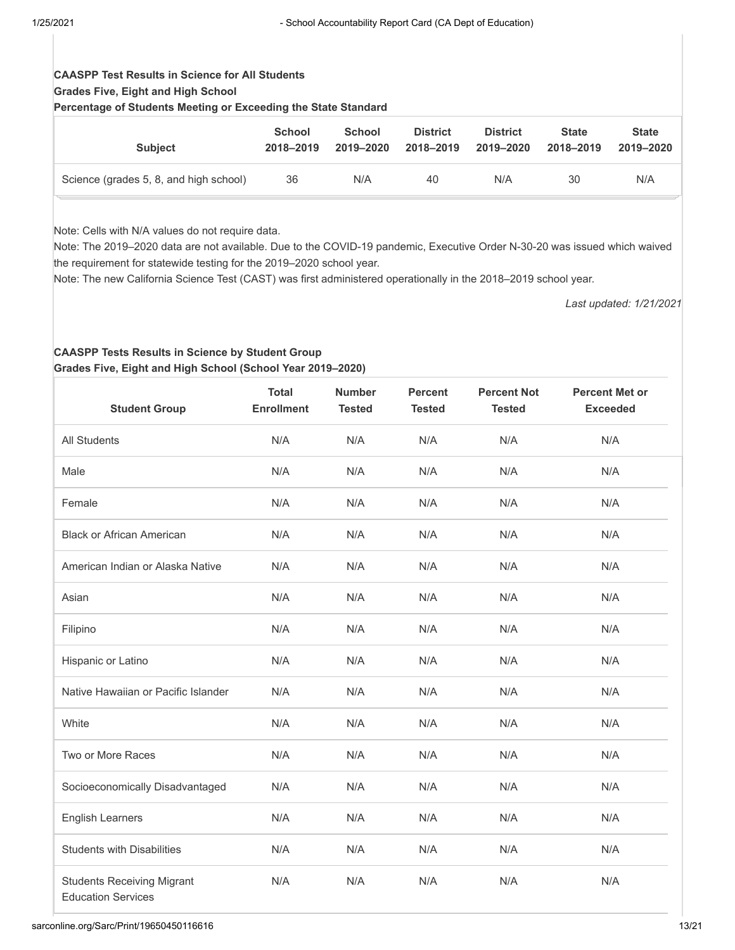# **CAASPP Test Results in Science for All Students Grades Five, Eight and High School**

**Percentage of Students Meeting or Exceeding the State Standard**

| <b>Subject</b>                         | <b>School</b> | <b>School</b> | <b>District</b> | <b>District</b> | <b>State</b> | <b>State</b> |
|----------------------------------------|---------------|---------------|-----------------|-----------------|--------------|--------------|
|                                        | 2018-2019     | 2019-2020     | 2018-2019       | 2019–2020       | 2018-2019    | 2019-2020    |
| Science (grades 5, 8, and high school) | 36            | N/A           | 40              | N/A             | 30           | N/A          |

Note: Cells with N/A values do not require data.

Note: The 2019–2020 data are not available. Due to the COVID-19 pandemic, Executive Order N-30-20 was issued which waived the requirement for statewide testing for the 2019–2020 school year.

Note: The new California Science Test (CAST) was first administered operationally in the 2018–2019 school year.

*Last updated: 1/21/2021*

#### **CAASPP Tests Results in Science by Student Group Grades Five, Eight and High School (School Year 2019–2020)**

| <b>Student Group</b>                                           | <b>Total</b><br><b>Enrollment</b> | <b>Number</b><br><b>Tested</b> | <b>Percent</b><br><b>Tested</b> | <b>Percent Not</b><br><b>Tested</b> | <b>Percent Met or</b><br><b>Exceeded</b> |
|----------------------------------------------------------------|-----------------------------------|--------------------------------|---------------------------------|-------------------------------------|------------------------------------------|
| All Students                                                   | N/A                               | N/A                            | N/A                             | N/A                                 | N/A                                      |
| Male                                                           | N/A                               | N/A                            | N/A                             | N/A                                 | N/A                                      |
| Female                                                         | N/A                               | N/A                            | N/A                             | N/A                                 | N/A                                      |
| <b>Black or African American</b>                               | N/A                               | N/A                            | N/A                             | N/A                                 | N/A                                      |
| American Indian or Alaska Native                               | N/A                               | N/A                            | N/A                             | N/A                                 | N/A                                      |
| Asian                                                          | N/A                               | N/A                            | N/A                             | N/A                                 | N/A                                      |
| Filipino                                                       | N/A                               | N/A                            | N/A                             | N/A                                 | N/A                                      |
| Hispanic or Latino                                             | N/A                               | N/A                            | N/A                             | N/A                                 | N/A                                      |
| Native Hawaiian or Pacific Islander                            | N/A                               | N/A                            | N/A                             | N/A                                 | N/A                                      |
| White                                                          | N/A                               | N/A                            | N/A                             | N/A                                 | N/A                                      |
| Two or More Races                                              | N/A                               | N/A                            | N/A                             | N/A                                 | N/A                                      |
| Socioeconomically Disadvantaged                                | N/A                               | N/A                            | N/A                             | N/A                                 | N/A                                      |
| <b>English Learners</b>                                        | N/A                               | N/A                            | N/A                             | N/A                                 | N/A                                      |
| <b>Students with Disabilities</b>                              | N/A                               | N/A                            | N/A                             | N/A                                 | N/A                                      |
| <b>Students Receiving Migrant</b><br><b>Education Services</b> | N/A                               | N/A                            | N/A                             | N/A                                 | N/A                                      |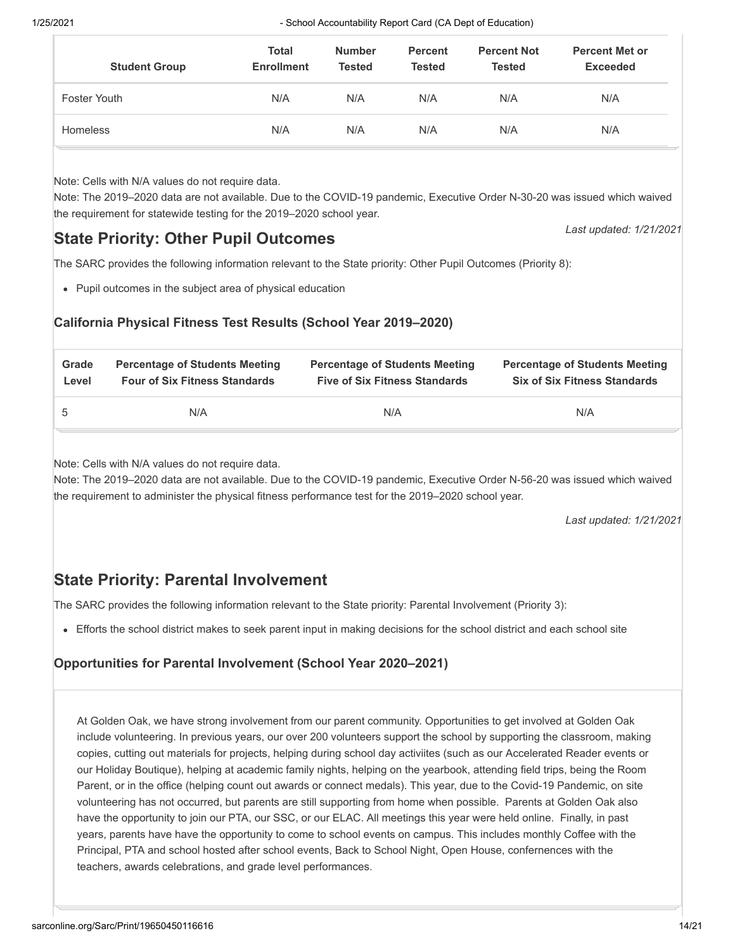| <b>Student Group</b> | <b>Total</b><br><b>Enrollment</b> | <b>Number</b><br>Tested | <b>Percent</b><br><b>Tested</b> | <b>Percent Not</b><br><b>Tested</b> | <b>Percent Met or</b><br><b>Exceeded</b> |
|----------------------|-----------------------------------|-------------------------|---------------------------------|-------------------------------------|------------------------------------------|
| Foster Youth         | N/A                               | N/A                     | N/A                             | N/A                                 | N/A                                      |
| <b>Homeless</b>      | N/A                               | N/A                     | N/A                             | N/A                                 | N/A                                      |

Note: Cells with N/A values do not require data.

Note: The 2019–2020 data are not available. Due to the COVID-19 pandemic, Executive Order N-30-20 was issued which waived the requirement for statewide testing for the 2019–2020 school year.

# **State Priority: Other Pupil Outcomes**

The SARC provides the following information relevant to the State priority: Other Pupil Outcomes (Priority 8):

Pupil outcomes in the subject area of physical education

# **California Physical Fitness Test Results (School Year 2019–2020)**

| Grade | <b>Percentage of Students Meeting</b> | <b>Percentage of Students Meeting</b> | <b>Percentage of Students Meeting</b> |
|-------|---------------------------------------|---------------------------------------|---------------------------------------|
| Level | <b>Four of Six Fitness Standards</b>  | <b>Five of Six Fitness Standards</b>  | <b>Six of Six Fitness Standards</b>   |
| 5     | N/A                                   | N/A                                   | N/A                                   |

Note: Cells with N/A values do not require data.

Note: The 2019–2020 data are not available. Due to the COVID-19 pandemic, Executive Order N-56-20 was issued which waived the requirement to administer the physical fitness performance test for the 2019–2020 school year.

*Last updated: 1/21/2021*

*Last updated: 1/21/2021*

# **State Priority: Parental Involvement**

The SARC provides the following information relevant to the State priority: Parental Involvement (Priority 3):

Efforts the school district makes to seek parent input in making decisions for the school district and each school site

# **Opportunities for Parental Involvement (School Year 2020–2021)**

At Golden Oak, we have strong involvement from our parent community. Opportunities to get involved at Golden Oak include volunteering. In previous years, our over 200 volunteers support the school by supporting the classroom, making copies, cutting out materials for projects, helping during school day activiites (such as our Accelerated Reader events or our Holiday Boutique), helping at academic family nights, helping on the yearbook, attending field trips, being the Room Parent, or in the office (helping count out awards or connect medals). This year, due to the Covid-19 Pandemic, on site volunteering has not occurred, but parents are still supporting from home when possible. Parents at Golden Oak also have the opportunity to join our PTA, our SSC, or our ELAC. All meetings this year were held online. Finally, in past years, parents have have the opportunity to come to school events on campus. This includes monthly Coffee with the Principal, PTA and school hosted after school events, Back to School Night, Open House, confernences with the teachers, awards celebrations, and grade level performances.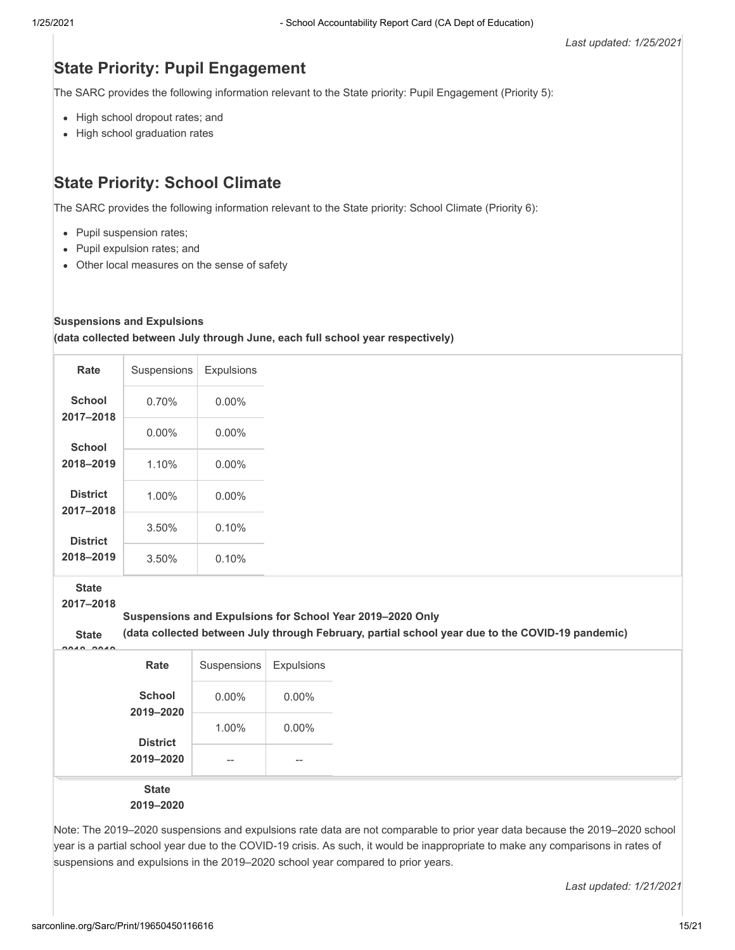# **State Priority: Pupil Engagement**

The SARC provides the following information relevant to the State priority: Pupil Engagement (Priority 5):

- High school dropout rates; and
- High school graduation rates

# **State Priority: School Climate**

The SARC provides the following information relevant to the State priority: School Climate (Priority 6):

- Pupil suspension rates;
- Pupil expulsion rates; and
- Other local measures on the sense of safety

#### **Suspensions and Expulsions**

**(data collected between July through June, each full school year respectively)**

| Rate                         | Suspensions | Expulsions |
|------------------------------|-------------|------------|
| <b>School</b><br>2017-2018   | 0.70%       | 0.00%      |
| School                       | $0.00\%$    | 0.00%      |
| 2018-2019                    | 1.10%       | $0.00\%$   |
| <b>District</b><br>2017-2018 | 1.00%       | $0.00\%$   |
| <b>District</b>              | 3.50%       | 0.10%      |
| 2018-2019                    | 3.50%       | 0.10%      |

**State**

**2017–2018**

#### **Suspensions and Expulsions for School Year 2019–2020 Only**

**State**

**(data collected between July through February, partial school year due to the COVID-19 pandemic)**

| Rate                | Suspensions                           | Expulsions |
|---------------------|---------------------------------------|------------|
| School<br>2019-2020 | $0.00\%$                              | $0.00\%$   |
| <b>District</b>     | 1.00%                                 | $0.00\%$   |
| 2019-2020           | $\hspace{0.05cm}$ – $\hspace{0.05cm}$ | $- -$      |
| <b>State</b>        |                                       |            |
| 2019-2020           |                                       |            |

Note: The 2019–2020 suspensions and expulsions rate data are not comparable to prior year data because the 2019–2020 school year is a partial school year due to the COVID-19 crisis. As such, it would be inappropriate to make any comparisons in rates of suspensions and expulsions in the 2019–2020 school year compared to prior years.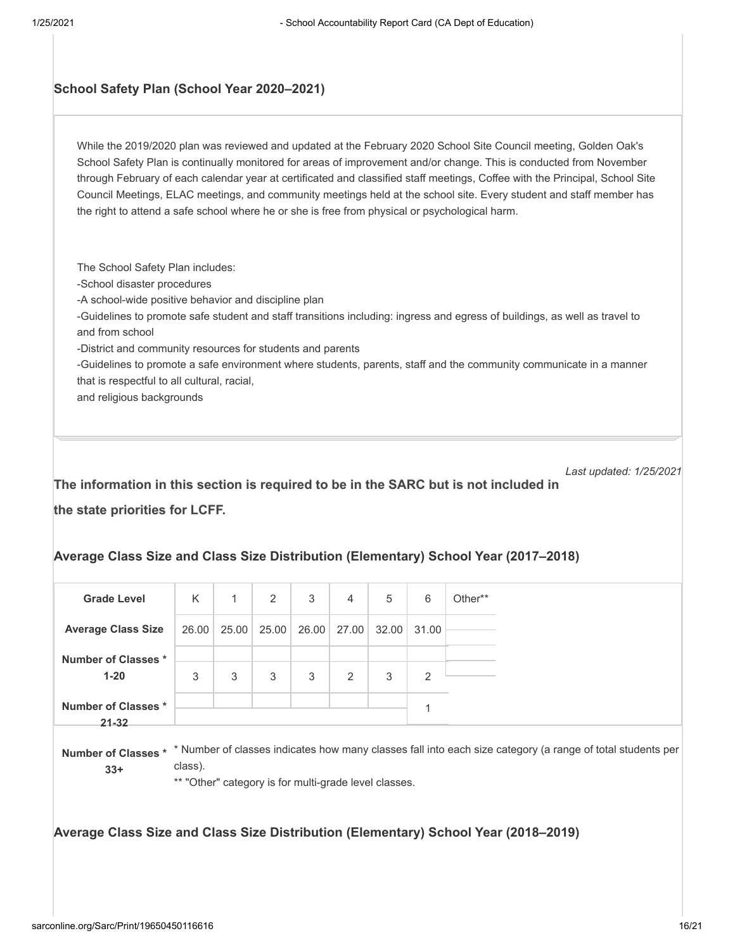### **School Safety Plan (School Year 2020–2021)**

While the 2019/2020 plan was reviewed and updated at the February 2020 School Site Council meeting, Golden Oak's School Safety Plan is continually monitored for areas of improvement and/or change. This is conducted from November through February of each calendar year at certificated and classified staff meetings, Coffee with the Principal, School Site Council Meetings, ELAC meetings, and community meetings held at the school site. Every student and staff member has the right to attend a safe school where he or she is free from physical or psychological harm.

The School Safety Plan includes: -School disaster procedures -A school-wide positive behavior and discipline plan -Guidelines to promote safe student and staff transitions including: ingress and egress of buildings, as well as travel to and from school -District and community resources for students and parents -Guidelines to promote a safe environment where students, parents, staff and the community communicate in a manner that is respectful to all cultural, racial, and religious backgrounds

*Last updated: 1/25/2021*

**The information in this section is required to be in the SARC but is not included in the state priorities for LCFF.**

#### **Average Class Size and Class Size Distribution (Elementary) School Year (2017–2018)**

| <b>Grade Level</b>               | K     | $\mathbf{1}$ | 2           | 3     | $\overline{4}$ | 5     | 6     | Other** |
|----------------------------------|-------|--------------|-------------|-------|----------------|-------|-------|---------|
| <b>Average Class Size</b>        | 26.00 |              | 25.00 25.00 | 26.00 | 27.00          | 32.00 | 31.00 |         |
| Number of Classes *              |       |              |             |       |                |       |       |         |
| $1 - 20$                         | 3     | 3            | 3           | 3     | 2              | 3     | 2     |         |
| Number of Classes *<br>$21 - 32$ |       |              |             |       |                |       |       |         |

<code>Number</code> of Classes \*  $\,$  \* Number of classes indicates how many classes fall into each size category (a range of total students per class). **33+**

\*\* "Other" category is for multi-grade level classes.

**Average Class Size and Class Size Distribution (Elementary) School Year (2018–2019)**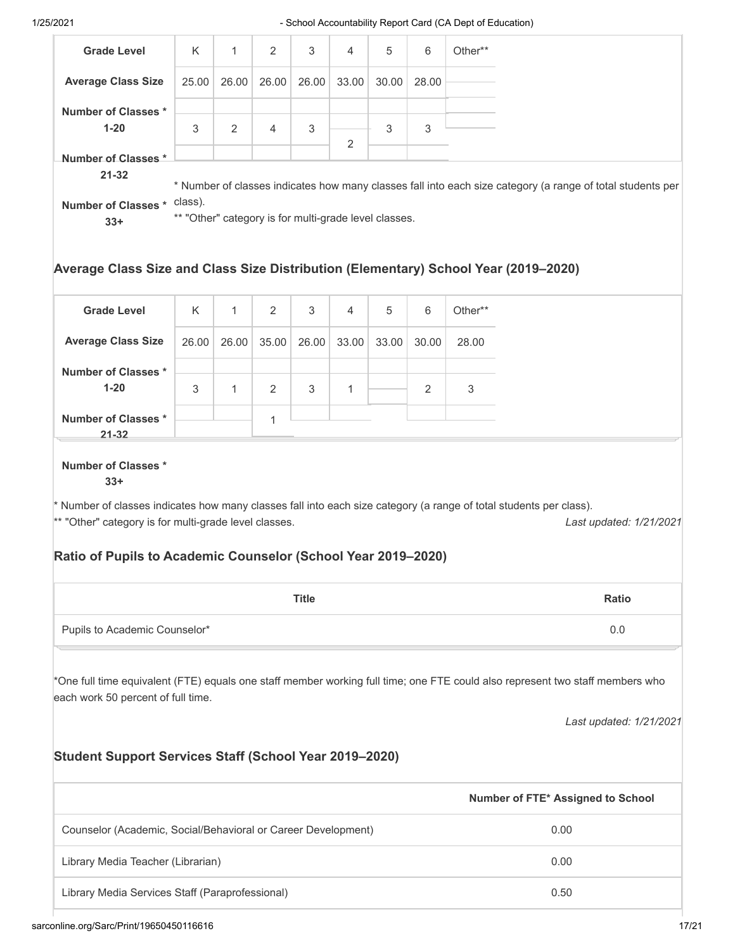| <b>Grade Level</b>                                                                                                                           | K     | 1            | 2     | 3     | 4              | 5     | 6     | Other** |  |
|----------------------------------------------------------------------------------------------------------------------------------------------|-------|--------------|-------|-------|----------------|-------|-------|---------|--|
| <b>Average Class Size</b>                                                                                                                    | 25.00 | 26.00        | 26.00 | 26.00 | 33.00          | 30.00 | 28.00 |         |  |
| Number of Classes *                                                                                                                          |       |              |       |       |                |       |       |         |  |
| $1 - 20$                                                                                                                                     | 3     | 2            | 4     | 3     | 2              | 3     | 3     |         |  |
| Number of Classes *                                                                                                                          |       |              |       |       |                |       |       |         |  |
| $21 - 32$<br>* Number of classes indicates how many classes fall into each size category (a range of total students per                      |       |              |       |       |                |       |       |         |  |
| Number of Classes * class).                                                                                                                  |       |              |       |       |                |       |       |         |  |
| $33+$                                                                                                                                        |       |              |       |       |                |       |       |         |  |
| ** "Other" category is for multi-grade level classes.<br>Average Class Size and Class Size Distribution (Elementary) School Year (2019–2020) |       |              |       |       |                |       |       |         |  |
| <b>Grade Level</b>                                                                                                                           | K     | $\mathbf{1}$ | 2     | 3     | $\overline{4}$ | 5     | 6     | Other** |  |
| <b>Average Class Size</b>                                                                                                                    | 26.00 | 26.00        | 35.00 | 26.00 | 33.00          | 33.00 | 30.00 | 28.00   |  |

\*\* "Other" category is for multi-grade level classes.

3

1

2

1

**Number of Classes \* 1-20**

**Number of Classes \* 21-32**

**Number of Classes \* 33+**

*Last updated: 1/21/2021*

# **Ratio of Pupils to Academic Counselor (School Year 2019–2020)**

|                               | <b>Title</b> | <b>Ratio</b> |
|-------------------------------|--------------|--------------|
| Pupils to Academic Counselor* |              | $\sqrt{ }$   |

\* Number of classes indicates how many classes fall into each size category (a range of total students per class).

3

1

2

3

\*One full time equivalent (FTE) equals one staff member working full time; one FTE could also represent two staff members who each work 50 percent of full time.

*Last updated: 1/21/2021*

#### **Student Support Services Staff (School Year 2019–2020)**

|                                                               | Number of FTE* Assigned to School |
|---------------------------------------------------------------|-----------------------------------|
| Counselor (Academic, Social/Behavioral or Career Development) | 0.00                              |
| Library Media Teacher (Librarian)                             | 0.00                              |
| Library Media Services Staff (Paraprofessional)               | 0.50                              |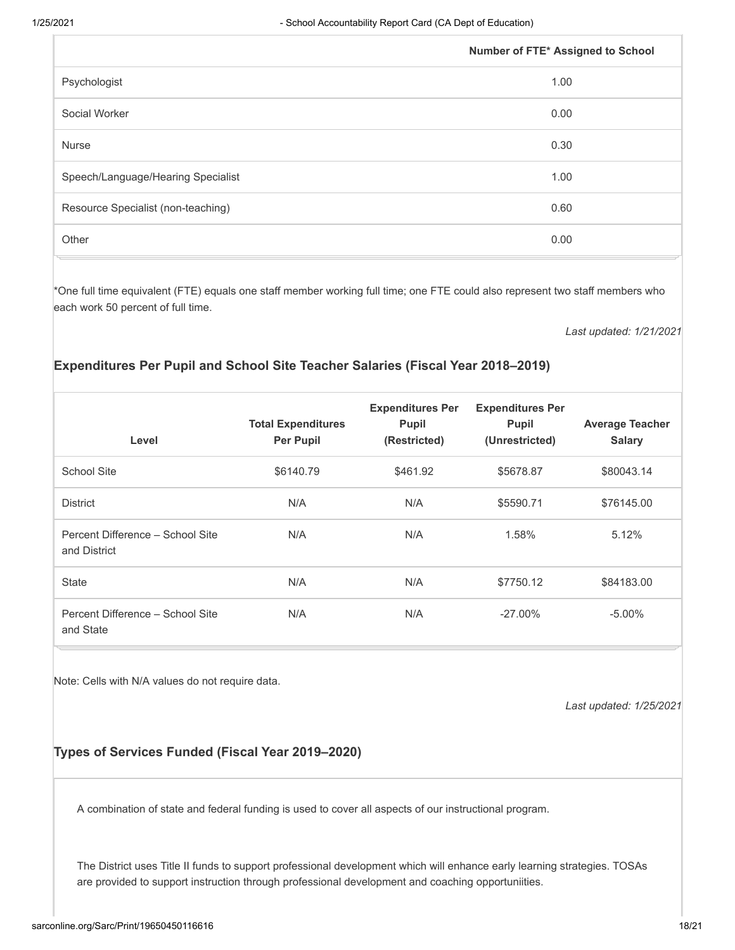|                                    | Number of FTE* Assigned to School |
|------------------------------------|-----------------------------------|
| Psychologist                       | 1.00                              |
| Social Worker                      | 0.00                              |
| <b>Nurse</b>                       | 0.30                              |
| Speech/Language/Hearing Specialist | 1.00                              |
| Resource Specialist (non-teaching) | 0.60                              |
| Other                              | 0.00                              |

\*One full time equivalent (FTE) equals one staff member working full time; one FTE could also represent two staff members who each work 50 percent of full time.

*Last updated: 1/21/2021*

# **Expenditures Per Pupil and School Site Teacher Salaries (Fiscal Year 2018–2019)**

| Level                                            | <b>Total Expenditures</b><br><b>Per Pupil</b> | <b>Expenditures Per</b><br><b>Pupil</b><br>(Restricted) | <b>Expenditures Per</b><br><b>Pupil</b><br>(Unrestricted) | <b>Average Teacher</b><br><b>Salary</b> |
|--------------------------------------------------|-----------------------------------------------|---------------------------------------------------------|-----------------------------------------------------------|-----------------------------------------|
| <b>School Site</b>                               | \$6140.79                                     | \$461.92                                                | \$5678.87                                                 | \$80043.14                              |
| <b>District</b>                                  | N/A                                           | N/A                                                     | \$5590.71                                                 | \$76145.00                              |
| Percent Difference - School Site<br>and District | N/A                                           | N/A                                                     | 1.58%                                                     | 5.12%                                   |
| <b>State</b>                                     | N/A                                           | N/A                                                     | \$7750.12                                                 | \$84183.00                              |
| Percent Difference - School Site<br>and State    | N/A                                           | N/A                                                     | $-27.00\%$                                                | $-5.00\%$                               |

Note: Cells with N/A values do not require data.

*Last updated: 1/25/2021*

# **Types of Services Funded (Fiscal Year 2019–2020)**

A combination of state and federal funding is used to cover all aspects of our instructional program.

The District uses Title II funds to support professional development which will enhance early learning strategies. TOSAs are provided to support instruction through professional development and coaching opportuniities.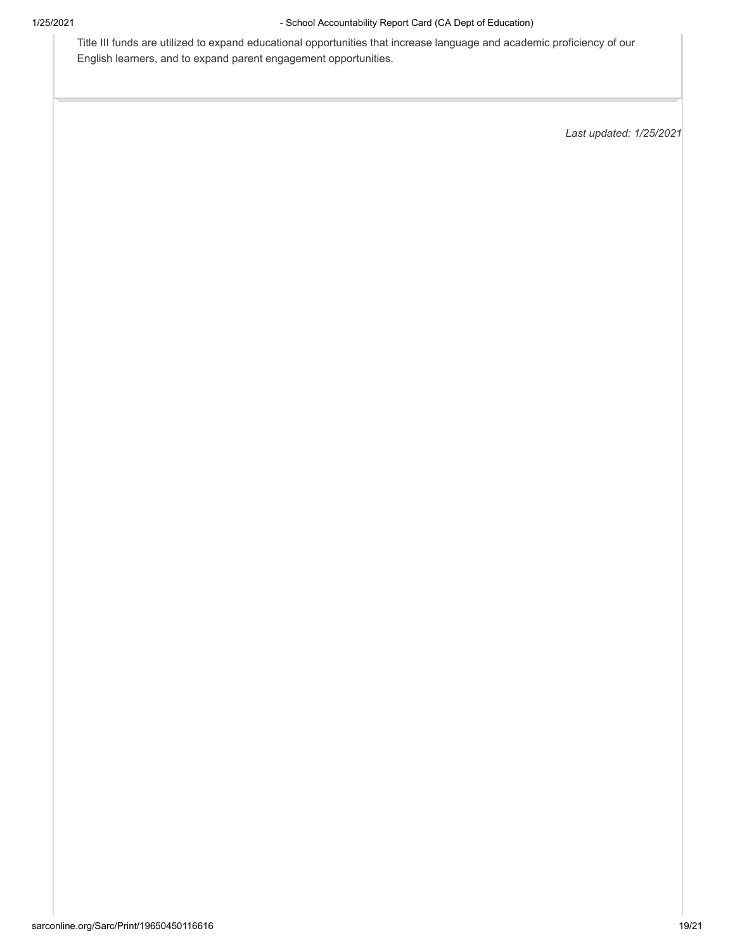Title III funds are utilized to expand educational opportunities that increase language and academic proficiency of our English learners, and to expand parent engagement opportunities.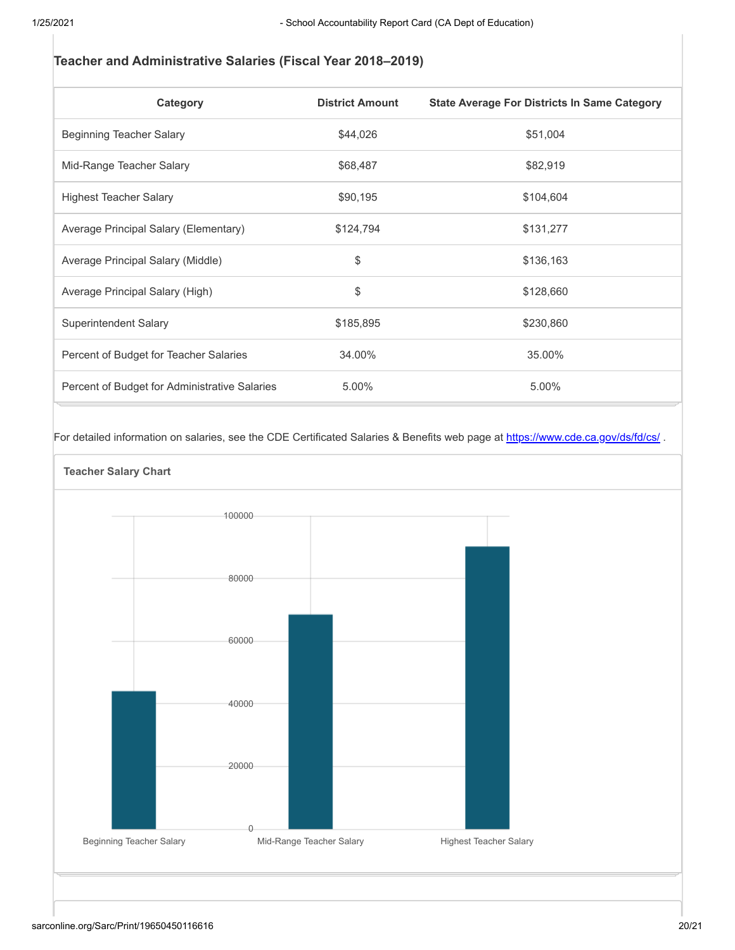# **Teacher and Administrative Salaries (Fiscal Year 2018–2019)**

| Category                                      | <b>District Amount</b> | <b>State Average For Districts In Same Category</b> |
|-----------------------------------------------|------------------------|-----------------------------------------------------|
| Beginning Teacher Salary                      | \$44,026               | \$51,004                                            |
| Mid-Range Teacher Salary                      | \$68,487               | \$82,919                                            |
| <b>Highest Teacher Salary</b>                 | \$90,195               | \$104,604                                           |
| Average Principal Salary (Elementary)         | \$124,794              | \$131,277                                           |
| Average Principal Salary (Middle)             | \$                     | \$136,163                                           |
| Average Principal Salary (High)               | \$                     | \$128,660                                           |
| Superintendent Salary                         | \$185,895              | \$230,860                                           |
| Percent of Budget for Teacher Salaries        | 34.00%                 | 35.00%                                              |
| Percent of Budget for Administrative Salaries | 5.00%                  | 5.00%                                               |

For detailed information on salaries, see the CDE Certificated Salaries & Benefits web page at https://www.cde.ca.gov/ds/fd/cs/.